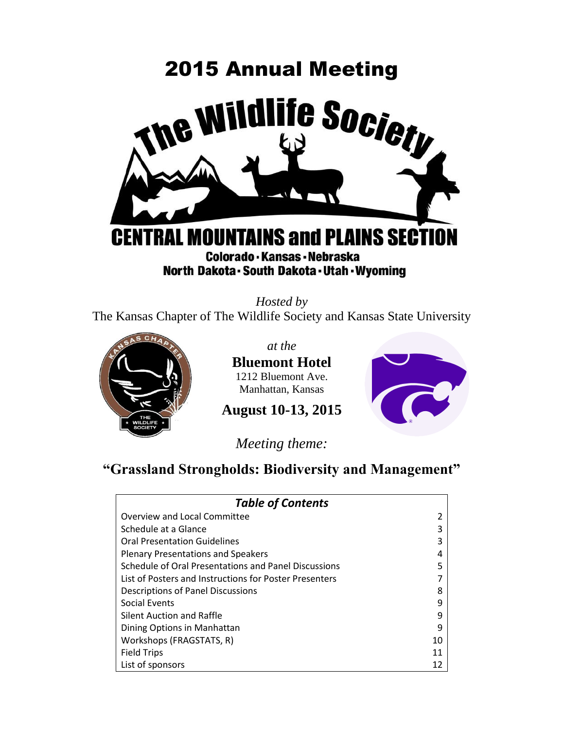# 2015 Annual Meeting **Life Society** ne W **FRAL MOUNTAINS and PLAINS SECTION** G Colorado - Kansas - Nebraska North Dakota - South Dakota - Utah - Wyoming

*Hosted by*  The Kansas Chapter of The Wildlife Society and Kansas State University



*at the* 

**Bluemont Hotel** 1212 Bluemont Ave. Manhattan, Kansas



**August 10-13, 2015**

*Meeting theme:*

# **"Grassland Strongholds: Biodiversity and Management"**

| <b>Table of Contents</b>                               |    |
|--------------------------------------------------------|----|
| Overview and Local Committee                           | 2  |
| Schedule at a Glance                                   | 3  |
| <b>Oral Presentation Guidelines</b>                    | ς  |
| <b>Plenary Presentations and Speakers</b>              | 4  |
| Schedule of Oral Presentations and Panel Discussions   | 5  |
| List of Posters and Instructions for Poster Presenters |    |
| Descriptions of Panel Discussions                      | 8  |
| <b>Social Events</b>                                   | 9  |
| Silent Auction and Raffle                              | 9  |
| Dining Options in Manhattan                            | 9  |
| Workshops (FRAGSTATS, R)                               | 10 |
| <b>Field Trips</b>                                     | 11 |
| List of sponsors                                       | 12 |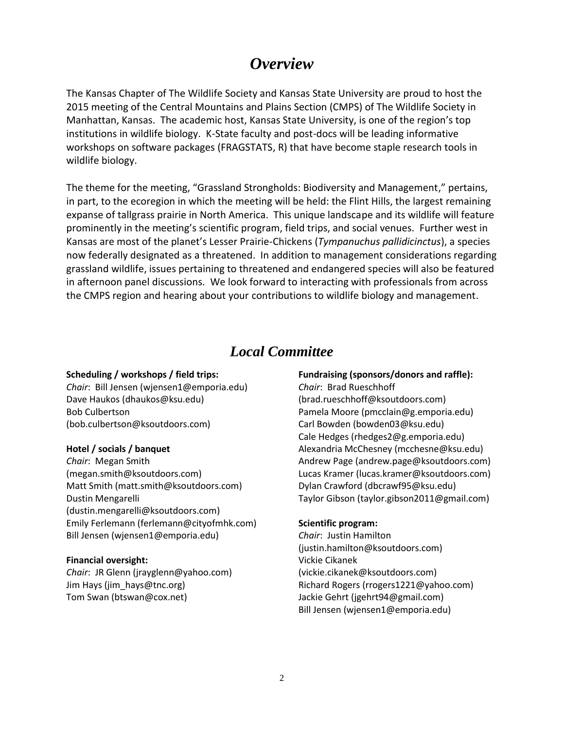# *Overview*

The Kansas Chapter of The Wildlife Society and Kansas State University are proud to host the 2015 meeting of the Central Mountains and Plains Section (CMPS) of The Wildlife Society in Manhattan, Kansas. The academic host, Kansas State University, is one of the region's top institutions in wildlife biology. K-State faculty and post-docs will be leading informative workshops on software packages (FRAGSTATS, R) that have become staple research tools in wildlife biology.

The theme for the meeting, "Grassland Strongholds: Biodiversity and Management," pertains, in part, to the ecoregion in which the meeting will be held: the Flint Hills, the largest remaining expanse of tallgrass prairie in North America. This unique landscape and its wildlife will feature prominently in the meeting's scientific program, field trips, and social venues. Further west in Kansas are most of the planet's Lesser Prairie-Chickens (*Tympanuchus pallidicinctus*), a species now federally designated as a threatened. In addition to management considerations regarding grassland wildlife, issues pertaining to threatened and endangered species will also be featured in afternoon panel discussions. We look forward to interacting with professionals from across the CMPS region and hearing about your contributions to wildlife biology and management.

### *Local Committee*

#### **Scheduling / workshops / field trips:**

*Chair*: Bill Jensen [\(wjensen1@emporia.edu\)](mailto:wjensen1@emporia.edu) Dave Haukos [\(dhaukos@ksu.edu\)](mailto:dhaukos@ksu.edu) Bob Culbertson [\(bob.culbertson@ksoutdoors.com\)](mailto:bob.culbertson@ksoutdoors.com)

#### **Hotel / socials / banquet**

*Chair*: Megan Smith [\(megan.smith@ksoutdoors.com\)](mailto:megan.smith@ksoutdoors.com) Matt Smith [\(matt.smith@ksoutdoors.com\)](mailto:matt.smith@ksoutdoors.com) Dustin Mengarelli [\(dustin.mengarelli@ksoutdoors.com\)](mailto:dustin.mengarelli@ksoutdoors.com) Emily Ferlemann [\(ferlemann@cityofmhk.com\)](mailto:ferlemann@cityofmhk.com) Bill Jensen [\(wjensen1@emporia.edu\)](mailto:wjensen1@emporia.edu)

#### **Financial oversight:**

*Chair*: JR Glenn [\(jrayglenn@yahoo.com\)](mailto:jrayglenn@yahoo.com) Jim Hays [\(jim\\_hays@tnc.org\)](mailto:jim_hays@tnc.org) Tom Swan [\(btswan@cox.net\)](mailto:btswan@cox.net)

#### **Fundraising (sponsors/donors and raffle):**

*Chair*: Brad Rueschhoff [\(brad.rueschhoff@ksoutdoors.com\)](mailto:brad.rueschhoff@ksoutdoors.com) Pamela Moore [\(pmcclain@g.emporia.edu\)](mailto:pmcclain@g.emporia.edu) Carl Bowden [\(bowden03@ksu.edu\)](mailto:bowden03@ksu.edu) Cale Hedges [\(rhedges2@g.emporia.edu\)](mailto:rhedges2@g.emporia.edu) Alexandria McChesney [\(mcchesne@ksu.edu\)](mailto:mcchesne@ksu.edu) Andrew Page [\(andrew.page@ksoutdoors.com\)](mailto:andrew.page@ksoutdoors.com) Lucas Kramer [\(lucas.kramer@ksoutdoors.com\)](mailto:lucas.kramer@ksoutdoors.com) Dylan Crawford [\(dbcrawf95@ksu.edu\)](mailto:dbcrawf95@ksu.edu) Taylor Gibson [\(taylor.gibson2011@gmail.com\)](mailto:taylor.gibson2011@gmail.com)

#### **Scientific program:**

*Chair*: Justin Hamilton [\(justin.hamilton@ksoutdoors.com\)](mailto:justin.hamilton@ksoutdoors.com) Vickie Cikanek [\(vickie.cikanek@ksoutdoors.com\)](mailto:vickie.cikanek@ksoutdoors.com) Richard Rogers [\(rrogers1221@yahoo.com\)](mailto:rrogers1221@yahoo.com) Jackie Gehrt [\(jgehrt94@gmail.com\)](mailto:jgehrt94@gmail.com) Bill Jensen [\(wjensen1@emporia.edu\)](mailto:wjensen1@emporia.edu)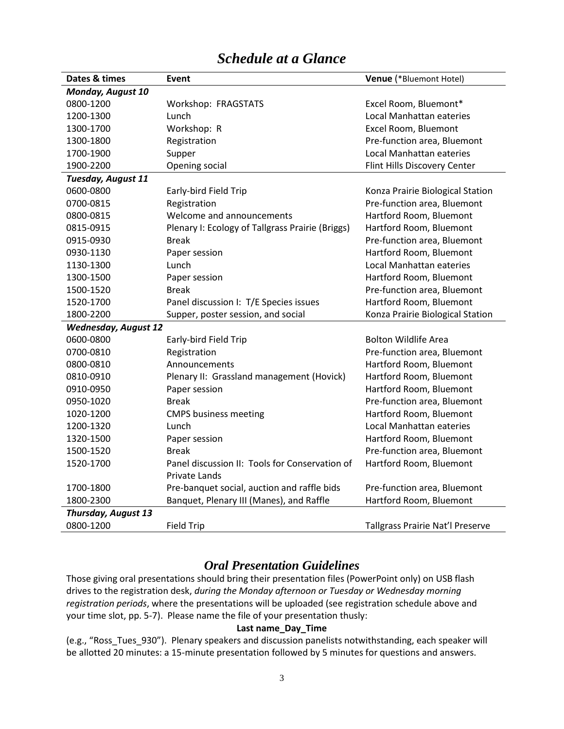| Dates & times               | <b>Event</b>                                     | <b>Venue</b> (*Bluemont Hotel)   |  |
|-----------------------------|--------------------------------------------------|----------------------------------|--|
| Monday, August 10           |                                                  |                                  |  |
| 0800-1200                   | Workshop: FRAGSTATS                              | Excel Room, Bluemont*            |  |
| 1200-1300                   | Lunch                                            | Local Manhattan eateries         |  |
| 1300-1700                   | Workshop: R                                      | Excel Room, Bluemont             |  |
| 1300-1800                   | Registration                                     | Pre-function area, Bluemont      |  |
| 1700-1900                   | Supper                                           | Local Manhattan eateries         |  |
| 1900-2200                   | Opening social                                   | Flint Hills Discovery Center     |  |
| Tuesday, August 11          |                                                  |                                  |  |
| 0600-0800                   | Early-bird Field Trip                            | Konza Prairie Biological Station |  |
| 0700-0815                   | Registration                                     | Pre-function area, Bluemont      |  |
| 0800-0815                   | Welcome and announcements                        | Hartford Room, Bluemont          |  |
| 0815-0915                   | Plenary I: Ecology of Tallgrass Prairie (Briggs) | Hartford Room, Bluemont          |  |
| 0915-0930                   | <b>Break</b>                                     | Pre-function area, Bluemont      |  |
| 0930-1130                   | Paper session                                    | Hartford Room, Bluemont          |  |
| 1130-1300                   | Lunch                                            | Local Manhattan eateries         |  |
| 1300-1500                   | Paper session                                    | Hartford Room, Bluemont          |  |
| 1500-1520                   | <b>Break</b>                                     | Pre-function area, Bluemont      |  |
| 1520-1700                   | Panel discussion I: T/E Species issues           | Hartford Room, Bluemont          |  |
| 1800-2200                   | Supper, poster session, and social               | Konza Prairie Biological Station |  |
| <b>Wednesday, August 12</b> |                                                  |                                  |  |
| 0600-0800                   | Early-bird Field Trip                            | <b>Bolton Wildlife Area</b>      |  |
| 0700-0810                   | Registration                                     | Pre-function area, Bluemont      |  |
| 0800-0810                   | Announcements                                    | Hartford Room, Bluemont          |  |
| 0810-0910                   | Plenary II: Grassland management (Hovick)        | Hartford Room, Bluemont          |  |
| 0910-0950                   | Paper session                                    | Hartford Room, Bluemont          |  |
| 0950-1020                   | <b>Break</b>                                     | Pre-function area, Bluemont      |  |
| 1020-1200                   | <b>CMPS business meeting</b>                     | Hartford Room, Bluemont          |  |
| 1200-1320                   | Lunch                                            | Local Manhattan eateries         |  |
| 1320-1500                   | Paper session                                    | Hartford Room, Bluemont          |  |
| 1500-1520                   | <b>Break</b>                                     | Pre-function area, Bluemont      |  |
| 1520-1700                   | Panel discussion II: Tools for Conservation of   | Hartford Room, Bluemont          |  |
|                             | Private Lands                                    |                                  |  |
| 1700-1800                   | Pre-banquet social, auction and raffle bids      | Pre-function area, Bluemont      |  |
| 1800-2300                   | Banquet, Plenary III (Manes), and Raffle         | Hartford Room, Bluemont          |  |
| Thursday, August 13         |                                                  |                                  |  |
| 0800-1200                   | <b>Field Trip</b>                                | Tallgrass Prairie Nat'l Preserve |  |

# *Schedule at a Glance*

### *Oral Presentation Guidelines*

Those giving oral presentations should bring their presentation files (PowerPoint only) on USB flash drives to the registration desk, *during the Monday afternoon or Tuesday or Wednesday morning registration periods*, where the presentations will be uploaded (see registration schedule above and your time slot, pp. 5-7). Please name the file of your presentation thusly:

#### **Last name\_Day\_Time**

(e.g., "Ross\_Tues\_930"). Plenary speakers and discussion panelists notwithstanding, each speaker will be allotted 20 minutes: a 15-minute presentation followed by 5 minutes for questions and answers.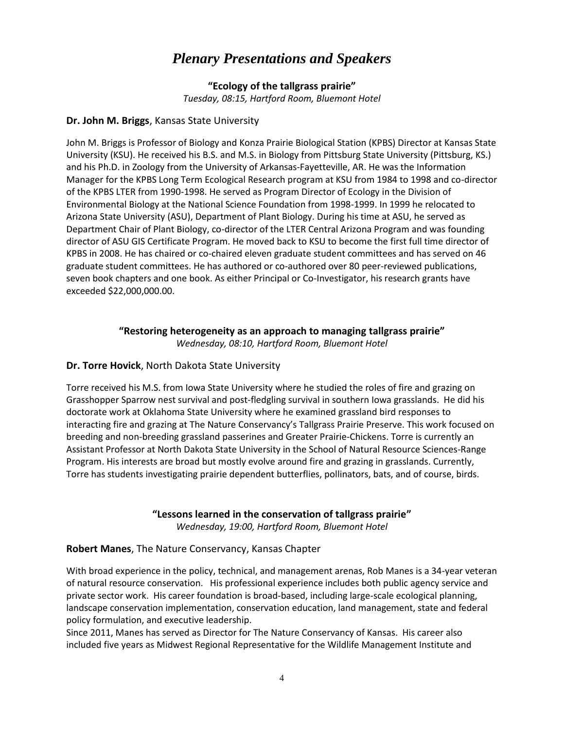# *Plenary Presentations and Speakers*

**"Ecology of the tallgrass prairie"** *Tuesday, 08:15, Hartford Room, Bluemont Hotel*

#### **Dr. John M. Briggs**, Kansas State University

John M. Briggs is Professor of Biology and Konza Prairie Biological Station (KPBS) Director at Kansas State University (KSU). He received his B.S. and M.S. in Biology from Pittsburg State University (Pittsburg, KS.) and his Ph.D. in Zoology from the University of Arkansas-Fayetteville, AR. He was the Information Manager for the KPBS Long Term Ecological Research program at KSU from 1984 to 1998 and co-director of the KPBS LTER from 1990-1998. He served as Program Director of Ecology in the Division of Environmental Biology at the National Science Foundation from 1998-1999. In 1999 he relocated to Arizona State University (ASU), Department of Plant Biology. During his time at ASU, he served as Department Chair of Plant Biology, co-director of the LTER Central Arizona Program and was founding director of ASU GIS Certificate Program. He moved back to KSU to become the first full time director of KPBS in 2008. He has chaired or co-chaired eleven graduate student committees and has served on 46 graduate student committees. He has authored or co-authored over 80 peer-reviewed publications, seven book chapters and one book. As either Principal or Co-Investigator, his research grants have exceeded \$22,000,000.00.

**"Restoring heterogeneity as an approach to managing tallgrass prairie"**

*Wednesday, 08:10, Hartford Room, Bluemont Hotel*

#### **Dr. Torre Hovick**, North Dakota State University

Torre received his M.S. from Iowa State University where he studied the roles of fire and grazing on Grasshopper Sparrow nest survival and post-fledgling survival in southern Iowa grasslands. He did his doctorate work at Oklahoma State University where he examined grassland bird responses to interacting fire and grazing at The Nature Conservancy's Tallgrass Prairie Preserve. This work focused on breeding and non-breeding grassland passerines and Greater Prairie-Chickens. Torre is currently an Assistant Professor at North Dakota State University in the School of Natural Resource Sciences-Range Program. His interests are broad but mostly evolve around fire and grazing in grasslands. Currently, Torre has students investigating prairie dependent butterflies, pollinators, bats, and of course, birds.

#### **"Lessons learned in the conservation of tallgrass prairie"**

*Wednesday, 19:00, Hartford Room, Bluemont Hotel*

#### **Robert Manes**, The Nature Conservancy, Kansas Chapter

With broad experience in the policy, technical, and management arenas, Rob Manes is a 34-year veteran of natural resource conservation. His professional experience includes both public agency service and private sector work. His career foundation is broad-based, including large-scale ecological planning, landscape conservation implementation, conservation education, land management, state and federal policy formulation, and executive leadership.

Since 2011, Manes has served as Director for The Nature Conservancy of Kansas. His career also included five years as Midwest Regional Representative for the Wildlife Management Institute and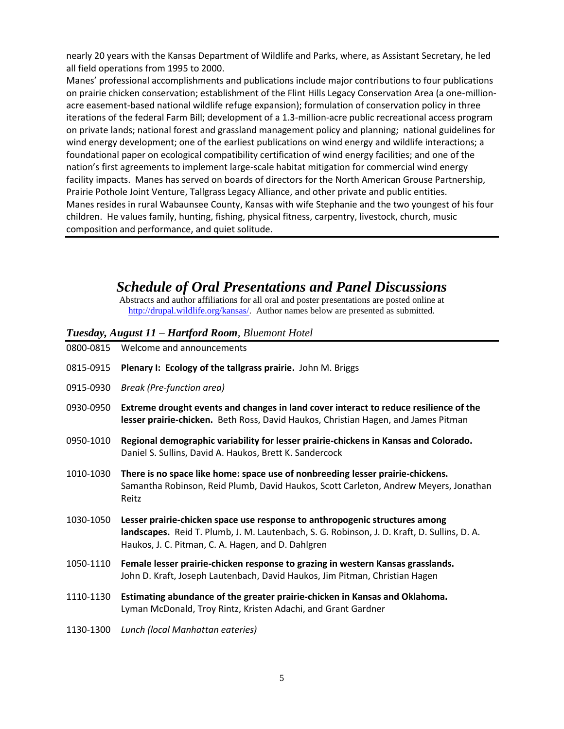nearly 20 years with the Kansas Department of Wildlife and Parks, where, as Assistant Secretary, he led all field operations from 1995 to 2000.

Manes' professional accomplishments and publications include major contributions to four publications on prairie chicken conservation; establishment of the Flint Hills Legacy Conservation Area (a one-millionacre easement-based national wildlife refuge expansion); formulation of conservation policy in three iterations of the federal Farm Bill; development of a 1.3-million-acre public recreational access program on private lands; national forest and grassland management policy and planning; national guidelines for wind energy development; one of the earliest publications on wind energy and wildlife interactions; a foundational paper on ecological compatibility certification of wind energy facilities; and one of the nation's first agreements to implement large-scale habitat mitigation for commercial wind energy facility impacts. Manes has served on boards of directors for the North American Grouse Partnership, Prairie Pothole Joint Venture, Tallgrass Legacy Alliance, and other private and public entities. Manes resides in rural Wabaunsee County, Kansas with wife Stephanie and the two youngest of his four children. He values family, hunting, fishing, physical fitness, carpentry, livestock, church, music composition and performance, and quiet solitude.

### *Schedule of Oral Presentations and Panel Discussions*

Abstracts and author affiliations for all oral and poster presentations are posted online at [http://drupal.wildlife.org/kansas/.](http://drupal.wildlife.org/kansas/) Author names below are presented as submitted.

#### *Tuesday, August 11 – Hartford Room, Bluemont Hotel*

| 0800-0815 | Welcome and announcements                                                                                                                                                                                                        |
|-----------|----------------------------------------------------------------------------------------------------------------------------------------------------------------------------------------------------------------------------------|
| 0815-0915 | Plenary I: Ecology of the tallgrass prairie. John M. Briggs                                                                                                                                                                      |
| 0915-0930 | Break (Pre-function area)                                                                                                                                                                                                        |
| 0930-0950 | Extreme drought events and changes in land cover interact to reduce resilience of the<br>lesser prairie-chicken. Beth Ross, David Haukos, Christian Hagen, and James Pitman                                                      |
| 0950-1010 | Regional demographic variability for lesser prairie-chickens in Kansas and Colorado.<br>Daniel S. Sullins, David A. Haukos, Brett K. Sandercock                                                                                  |
| 1010-1030 | There is no space like home: space use of nonbreeding lesser prairie-chickens.<br>Samantha Robinson, Reid Plumb, David Haukos, Scott Carleton, Andrew Meyers, Jonathan<br>Reitz                                                  |
| 1030-1050 | Lesser prairie-chicken space use response to anthropogenic structures among<br>landscapes. Reid T. Plumb, J. M. Lautenbach, S. G. Robinson, J. D. Kraft, D. Sullins, D. A.<br>Haukos, J. C. Pitman, C. A. Hagen, and D. Dahlgren |
| 1050-1110 | Female lesser prairie-chicken response to grazing in western Kansas grasslands.<br>John D. Kraft, Joseph Lautenbach, David Haukos, Jim Pitman, Christian Hagen                                                                   |
| 1110-1130 | Estimating abundance of the greater prairie-chicken in Kansas and Oklahoma.<br>Lyman McDonald, Troy Rintz, Kristen Adachi, and Grant Gardner                                                                                     |
| 1130-1300 | Lunch (local Manhattan eateries)                                                                                                                                                                                                 |
|           |                                                                                                                                                                                                                                  |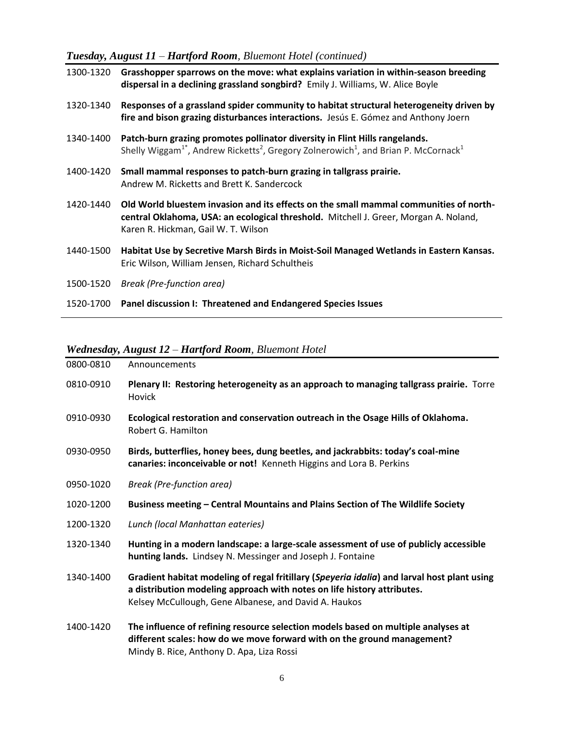*Tuesday, August 11 – Hartford Room, Bluemont Hotel (continued)*

| 1300-1320 | Grasshopper sparrows on the move: what explains variation in within-season breeding<br>dispersal in a declining grassland songbird? Emily J. Williams, W. Alice Boyle                                                          |
|-----------|--------------------------------------------------------------------------------------------------------------------------------------------------------------------------------------------------------------------------------|
| 1320-1340 | Responses of a grassland spider community to habitat structural heterogeneity driven by<br>fire and bison grazing disturbances interactions. Jesús E. Gómez and Anthony Joern                                                  |
| 1340-1400 | Patch-burn grazing promotes pollinator diversity in Flint Hills rangelands.<br>Shelly Wiggam <sup>1</sup> <sup>*</sup> , Andrew Ricketts <sup>2</sup> , Gregory Zolnerowich <sup>1</sup> , and Brian P. McCornack <sup>1</sup> |
| 1400-1420 | Small mammal responses to patch-burn grazing in tallgrass prairie.<br>Andrew M. Ricketts and Brett K. Sandercock                                                                                                               |
| 1420-1440 | Old World bluestem invasion and its effects on the small mammal communities of north-<br>central Oklahoma, USA: an ecological threshold. Mitchell J. Greer, Morgan A. Noland,<br>Karen R. Hickman, Gail W. T. Wilson           |
| 1440-1500 | Habitat Use by Secretive Marsh Birds in Moist-Soil Managed Wetlands in Eastern Kansas.<br>Eric Wilson, William Jensen, Richard Schultheis                                                                                      |
| 1500-1520 | Break (Pre-function area)                                                                                                                                                                                                      |
| 1520-1700 | Panel discussion I: Threatened and Endangered Species Issues                                                                                                                                                                   |

#### *Wednesday, August 12 – Hartford Room, Bluemont Hotel*

| 0800-0810 | Announcements                                                                                                                                                                                                                   |
|-----------|---------------------------------------------------------------------------------------------------------------------------------------------------------------------------------------------------------------------------------|
| 0810-0910 | Plenary II: Restoring heterogeneity as an approach to managing tallgrass prairie. Torre<br>Hovick                                                                                                                               |
| 0910-0930 | Ecological restoration and conservation outreach in the Osage Hills of Oklahoma.<br>Robert G. Hamilton                                                                                                                          |
| 0930-0950 | Birds, butterflies, honey bees, dung beetles, and jackrabbits: today's coal-mine<br>canaries: inconceivable or not! Kenneth Higgins and Lora B. Perkins                                                                         |
| 0950-1020 | <b>Break (Pre-function area)</b>                                                                                                                                                                                                |
| 1020-1200 | Business meeting – Central Mountains and Plains Section of The Wildlife Society                                                                                                                                                 |
| 1200-1320 | Lunch (local Manhattan eateries)                                                                                                                                                                                                |
| 1320-1340 | Hunting in a modern landscape: a large-scale assessment of use of publicly accessible<br>hunting lands. Lindsey N. Messinger and Joseph J. Fontaine                                                                             |
| 1340-1400 | Gradient habitat modeling of regal fritillary (Speyeria idalia) and larval host plant using<br>a distribution modeling approach with notes on life history attributes.<br>Kelsey McCullough, Gene Albanese, and David A. Haukos |
| 1400-1420 | The influence of refining resource selection models based on multiple analyses at<br>different scales: how do we move forward with on the ground management?<br>Mindy B. Rice, Anthony D. Apa, Liza Rossi                       |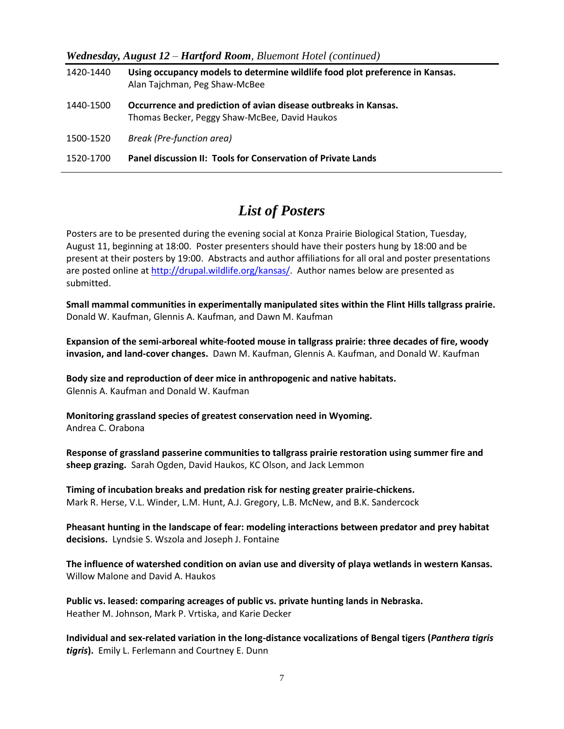| $\bm{v}$ reducsum $\bm{v}$ , August 12 – Hartjorn Koom, Duchton Hotel (Community) |                                                                                                                  |  |
|-----------------------------------------------------------------------------------|------------------------------------------------------------------------------------------------------------------|--|
| 1420-1440                                                                         | Using occupancy models to determine wildlife food plot preference in Kansas.<br>Alan Tajchman, Peg Shaw-McBee    |  |
| 1440-1500                                                                         | Occurrence and prediction of avian disease outbreaks in Kansas.<br>Thomas Becker, Peggy Shaw-McBee, David Haukos |  |
| 1500-1520                                                                         | Break (Pre-function area)                                                                                        |  |
| 1520-1700                                                                         | <b>Panel discussion II: Tools for Conservation of Private Lands</b>                                              |  |

#### *Wednesday, August 12 – Hartford Room, Bluemont Hotel (continued)*

### *List of Posters*

Posters are to be presented during the evening social at Konza Prairie Biological Station, Tuesday, August 11, beginning at 18:00. Poster presenters should have their posters hung by 18:00 and be present at their posters by 19:00. Abstracts and author affiliations for all oral and poster presentations are posted online at [http://drupal.wildlife.org/kansas/.](http://drupal.wildlife.org/kansas/) Author names below are presented as submitted.

**Small mammal communities in experimentally manipulated sites within the Flint Hills tallgrass prairie.**  Donald W. Kaufman, Glennis A. Kaufman, and Dawn M. Kaufman

**Expansion of the semi-arboreal white-footed mouse in tallgrass prairie: three decades of fire, woody invasion, and land-cover changes.** Dawn M. Kaufman, Glennis A. Kaufman, and Donald W. Kaufman

**Body size and reproduction of deer mice in anthropogenic and native habitats.** Glennis A. Kaufman and Donald W. Kaufman

**Monitoring grassland species of greatest conservation need in Wyoming.** Andrea C. Orabona

**Response of grassland passerine communities to tallgrass prairie restoration using summer fire and sheep grazing.** Sarah Ogden, David Haukos, KC Olson, and Jack Lemmon

**Timing of incubation breaks and predation risk for nesting greater prairie-chickens.** Mark R. Herse, V.L. Winder, L.M. Hunt, A.J. Gregory, L.B. McNew, and B.K. Sandercock

**Pheasant hunting in the landscape of fear: modeling interactions between predator and prey habitat decisions.** Lyndsie S. Wszola and Joseph J. Fontaine

**The influence of watershed condition on avian use and diversity of playa wetlands in western Kansas.**  Willow Malone and David A. Haukos

**Public vs. leased: comparing acreages of public vs. private hunting lands in Nebraska.** Heather M. Johnson, Mark P. Vrtiska, and Karie Decker

**Individual and sex-related variation in the long-distance vocalizations of Bengal tigers (***Panthera tigris tigris***).** Emily L. Ferlemann and Courtney E. Dunn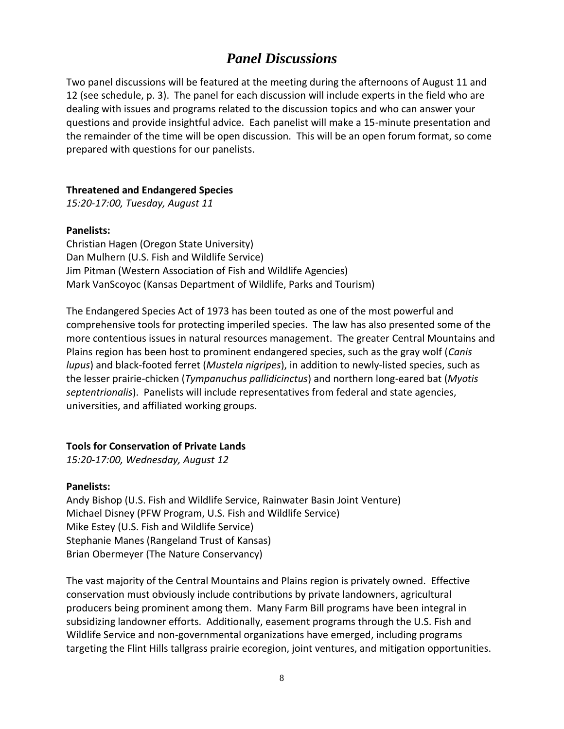### *Panel Discussions*

Two panel discussions will be featured at the meeting during the afternoons of August 11 and 12 (see schedule, p. 3). The panel for each discussion will include experts in the field who are dealing with issues and programs related to the discussion topics and who can answer your questions and provide insightful advice. Each panelist will make a 15-minute presentation and the remainder of the time will be open discussion. This will be an open forum format, so come prepared with questions for our panelists.

#### **Threatened and Endangered Species**

*15:20-17:00, Tuesday, August 11*

#### **Panelists:**

Christian Hagen (Oregon State University) Dan Mulhern (U.S. Fish and Wildlife Service) Jim Pitman (Western Association of Fish and Wildlife Agencies) Mark VanScoyoc (Kansas Department of Wildlife, Parks and Tourism)

The Endangered Species Act of 1973 has been touted as one of the most powerful and comprehensive tools for protecting imperiled species. The law has also presented some of the more contentious issues in natural resources management. The greater Central Mountains and Plains region has been host to prominent endangered species, such as the gray wolf (*Canis lupus*) and black-footed ferret (*Mustela nigripes*), in addition to newly-listed species, such as the lesser prairie-chicken (*Tympanuchus pallidicinctus*) and northern long-eared bat (*Myotis septentrionalis*). Panelists will include representatives from federal and state agencies, universities, and affiliated working groups.

#### **Tools for Conservation of Private Lands**

*15:20-17:00, Wednesday, August 12*

#### **Panelists:**

Andy Bishop (U.S. Fish and Wildlife Service, Rainwater Basin Joint Venture) Michael Disney (PFW Program, U.S. Fish and Wildlife Service) Mike Estey (U.S. Fish and Wildlife Service) Stephanie Manes (Rangeland Trust of Kansas) Brian Obermeyer (The Nature Conservancy)

The vast majority of the Central Mountains and Plains region is privately owned. Effective conservation must obviously include contributions by private landowners, agricultural producers being prominent among them. Many Farm Bill programs have been integral in subsidizing landowner efforts. Additionally, easement programs through the U.S. Fish and Wildlife Service and non-governmental organizations have emerged, including programs targeting the Flint Hills tallgrass prairie ecoregion, joint ventures, and mitigation opportunities.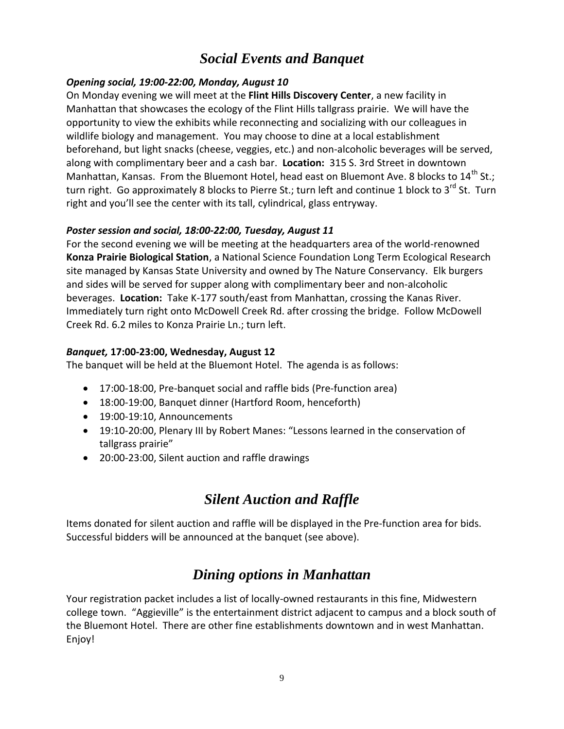# *Social Events and Banquet*

#### *Opening social, 19:00-22:00, Monday, August 10*

On Monday evening we will meet at the **Flint Hills Discovery Center**, a new facility in Manhattan that showcases the ecology of the Flint Hills tallgrass prairie. We will have the opportunity to view the exhibits while reconnecting and socializing with our colleagues in wildlife biology and management. You may choose to dine at a local establishment beforehand, but light snacks (cheese, veggies, etc.) and non-alcoholic beverages will be served, along with complimentary beer and a cash bar. **Location:** 315 S. 3rd Street in downtown Manhattan, Kansas. From the Bluemont Hotel, head east on Bluemont Ave. 8 blocks to  $14^{\text{th}}$  St.; turn right. Go approximately 8 blocks to Pierre St.; turn left and continue 1 block to 3<sup>rd</sup> St. Turn right and you'll see the center with its tall, cylindrical, glass entryway.

#### *Poster session and social, 18:00-22:00, Tuesday, August 11*

For the second evening we will be meeting at the headquarters area of the world-renowned **Konza Prairie Biological Station**, a National Science Foundation Long Term Ecological Research site managed by Kansas State University and owned by The Nature Conservancy. Elk burgers and sides will be served for supper along with complimentary beer and non-alcoholic beverages. **Location:** Take K-177 south/east from Manhattan, crossing the Kanas River. Immediately turn right onto McDowell Creek Rd. after crossing the bridge. Follow McDowell Creek Rd. 6.2 miles to Konza Prairie Ln.; turn left.

#### *Banquet,* **17:00-23:00, Wednesday, August 12**

The banquet will be held at the Bluemont Hotel. The agenda is as follows:

- 17:00-18:00, Pre-banquet social and raffle bids (Pre-function area)
- 18:00-19:00, Banquet dinner (Hartford Room, henceforth)
- 19:00-19:10, Announcements
- 19:10-20:00, Plenary III by Robert Manes: "Lessons learned in the conservation of tallgrass prairie"
- 20:00-23:00, Silent auction and raffle drawings

## *Silent Auction and Raffle*

Items donated for silent auction and raffle will be displayed in the Pre-function area for bids. Successful bidders will be announced at the banquet (see above).

## *Dining options in Manhattan*

Your registration packet includes a list of locally-owned restaurants in this fine, Midwestern college town. "Aggieville" is the entertainment district adjacent to campus and a block south of the Bluemont Hotel. There are other fine establishments downtown and in west Manhattan. Enjoy!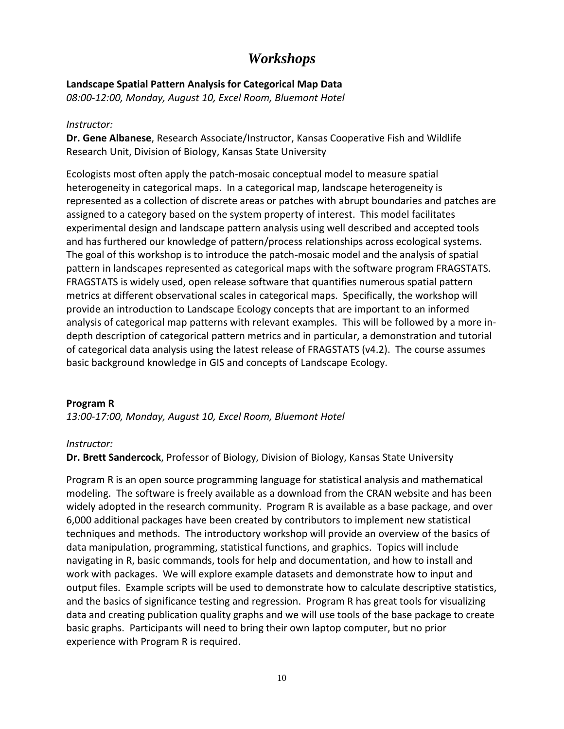### *Workshops*

#### **Landscape Spatial Pattern Analysis for Categorical Map Data**

*08:00-12:00, Monday, August 10, Excel Room, Bluemont Hotel*

#### *Instructor:*

**Dr. Gene Albanese**, Research Associate/Instructor, Kansas Cooperative Fish and Wildlife Research Unit, Division of Biology, Kansas State University

Ecologists most often apply the patch-mosaic conceptual model to measure spatial heterogeneity in categorical maps. In a categorical map, landscape heterogeneity is represented as a collection of discrete areas or patches with abrupt boundaries and patches are assigned to a category based on the system property of interest. This model facilitates experimental design and landscape pattern analysis using well described and accepted tools and has furthered our knowledge of pattern/process relationships across ecological systems. The goal of this workshop is to introduce the patch-mosaic model and the analysis of spatial pattern in landscapes represented as categorical maps with the software program FRAGSTATS. FRAGSTATS is widely used, open release software that quantifies numerous spatial pattern metrics at different observational scales in categorical maps. Specifically, the workshop will provide an introduction to Landscape Ecology concepts that are important to an informed analysis of categorical map patterns with relevant examples. This will be followed by a more indepth description of categorical pattern metrics and in particular, a demonstration and tutorial of categorical data analysis using the latest release of FRAGSTATS (v4.2). The course assumes basic background knowledge in GIS and concepts of Landscape Ecology.

#### **Program R**

*13:00-17:00, Monday, August 10, Excel Room, Bluemont Hotel*

#### *Instructor:*

**Dr. Brett Sandercock**, Professor of Biology, Division of Biology, Kansas State University

Program R is an open source programming language for statistical analysis and mathematical modeling. The software is freely available as a download from the CRAN website and has been widely adopted in the research community. Program R is available as a base package, and over 6,000 additional packages have been created by contributors to implement new statistical techniques and methods. The introductory workshop will provide an overview of the basics of data manipulation, programming, statistical functions, and graphics. Topics will include navigating in R, basic commands, tools for help and documentation, and how to install and work with packages. We will explore example datasets and demonstrate how to input and output files. Example scripts will be used to demonstrate how to calculate descriptive statistics, and the basics of significance testing and regression. Program R has great tools for visualizing data and creating publication quality graphs and we will use tools of the base package to create basic graphs. Participants will need to bring their own laptop computer, but no prior experience with Program R is required.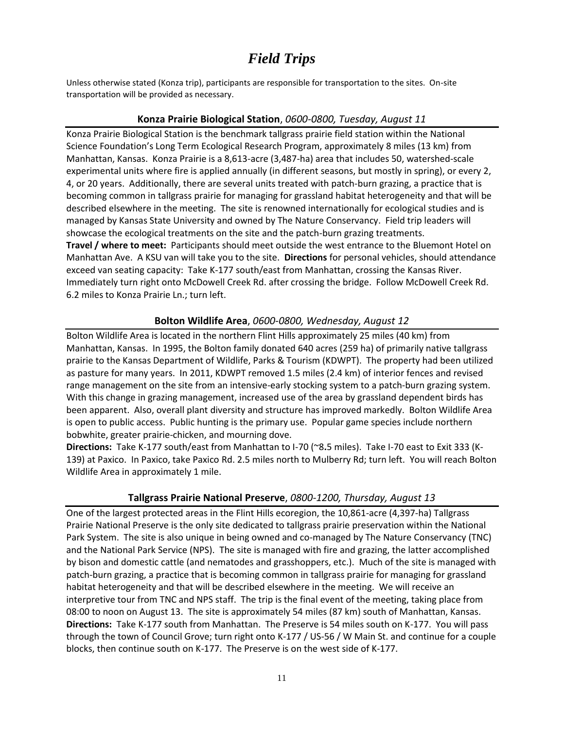# *Field Trips*

Unless otherwise stated (Konza trip), participants are responsible for transportation to the sites. On-site transportation will be provided as necessary.

#### **Konza Prairie Biological Station**, *0600-0800, Tuesday, August 11*

Konza Prairie Biological Station is the benchmark tallgrass prairie field station within the National Science Foundation's Long Term Ecological Research Program, approximately 8 miles (13 km) from Manhattan, Kansas. Konza Prairie is a 8,613-acre (3,487-ha) area that includes 50, watershed-scale experimental units where fire is applied annually (in different seasons, but mostly in spring), or every 2, 4, or 20 years. Additionally, there are several units treated with patch-burn grazing, a practice that is becoming common in tallgrass prairie for managing for grassland habitat heterogeneity and that will be described elsewhere in the meeting. The site is renowned internationally for ecological studies and is managed by Kansas State University and owned by The Nature Conservancy. Field trip leaders will showcase the ecological treatments on the site and the patch-burn grazing treatments. **Travel / where to meet:** Participants should meet outside the west entrance to the Bluemont Hotel on Manhattan Ave. A KSU van will take you to the site. **Directions** for personal vehicles, should attendance exceed van seating capacity: Take K-177 south/east from Manhattan, crossing the Kansas River. Immediately turn right onto McDowell Creek Rd. after crossing the bridge. Follow McDowell Creek Rd. 6.2 miles to Konza Prairie Ln.; turn left.

#### **Bolton Wildlife Area**, *0600-0800, Wednesday, August 12*

Bolton Wildlife Area is located in the northern Flint Hills approximately 25 miles (40 km) from Manhattan, Kansas. In 1995, the Bolton family donated 640 acres (259 ha) of primarily native tallgrass prairie to the Kansas Department of Wildlife, Parks & Tourism (KDWPT). The property had been utilized as pasture for many years. In 2011, KDWPT removed 1.5 miles (2.4 km) of interior fences and revised range management on the site from an intensive-early stocking system to a patch-burn grazing system. With this change in grazing management, increased use of the area by grassland dependent birds has been apparent. Also, overall plant diversity and structure has improved markedly. Bolton Wildlife Area is open to public access. Public hunting is the primary use. Popular game species include northern bobwhite, greater prairie-chicken, and mourning dove.

**Directions:** Take K-177 south/east from Manhattan to I-70 (~8**.**5 miles). Take I-70 east to Exit 333 (K-139) at Paxico. In Paxico, take Paxico Rd. 2.5 miles north to Mulberry Rd; turn left. You will reach Bolton Wildlife Area in approximately 1 mile.

#### **Tallgrass Prairie National Preserve**, *0800-1200, Thursday, August 13*

One of the largest protected areas in the Flint Hills ecoregion, the 10,861-acre (4,397-ha) Tallgrass Prairie National Preserve is the only site dedicated to tallgrass prairie preservation within the National Park System. The site is also unique in being owned and co-managed by The Nature Conservancy (TNC) and the National Park Service (NPS). The site is managed with fire and grazing, the latter accomplished by bison and domestic cattle (and nematodes and grasshoppers, etc.). Much of the site is managed with patch-burn grazing, a practice that is becoming common in tallgrass prairie for managing for grassland habitat heterogeneity and that will be described elsewhere in the meeting. We will receive an interpretive tour from TNC and NPS staff. The trip is the final event of the meeting, taking place from 08:00 to noon on August 13. The site is approximately 54 miles (87 km) south of Manhattan, Kansas. **Directions:** Take K-177 south from Manhattan. The Preserve is 54 miles south on K-177. You will pass through the town of Council Grove; turn right onto K-177 / US-56 / W Main St. and continue for a couple blocks, then continue south on K-177. The Preserve is on the west side of K-177.